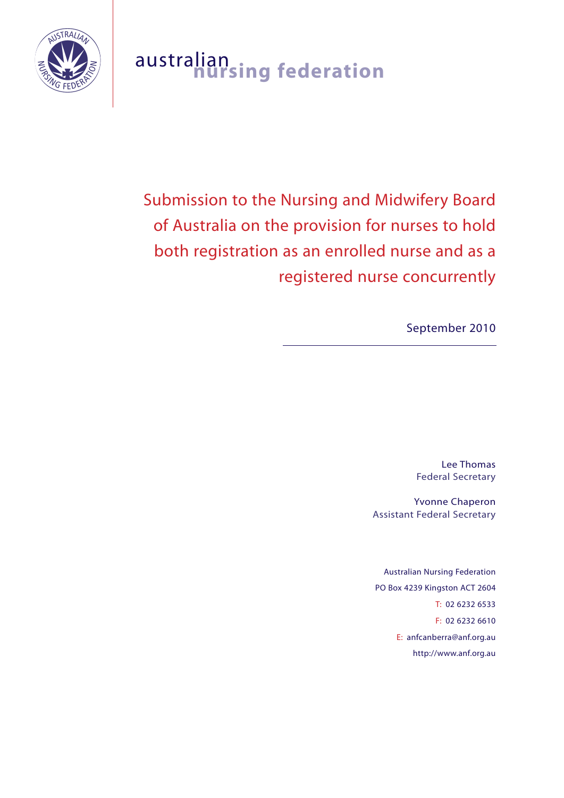

# australian **nursing federation**

Submission to the Nursing and Midwifery Board of Australia on the provision for nurses to hold both registration as an enrolled nurse and as a registered nurse concurrently

September 2010

Lee Thomas Federal Secretary

Yvonne Chaperon Assistant Federal Secretary

Australian Nursing Federation PO Box 4239 Kingston ACT 2604 T: 02 6232 6533 F: 02 6232 6610 E: anfcanberra@anf.org.au http://www.anf.org.au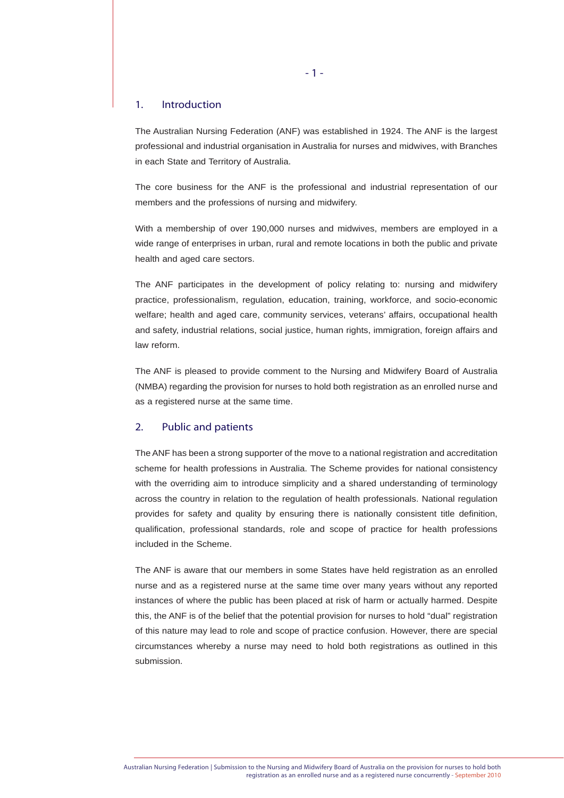# 1. Introduction

The Australian Nursing Federation (ANF) was established in 1924. The ANF is the largest professional and industrial organisation in Australia for nurses and midwives, with Branches in each State and Territory of Australia.

The core business for the ANF is the professional and industrial representation of our members and the professions of nursing and midwifery.

With a membership of over 190,000 nurses and midwives, members are employed in a wide range of enterprises in urban, rural and remote locations in both the public and private health and aged care sectors.

The ANF participates in the development of policy relating to: nursing and midwifery practice, professionalism, regulation, education, training, workforce, and socio-economic welfare; health and aged care, community services, veterans' affairs, occupational health and safety, industrial relations, social justice, human rights, immigration, foreign affairs and law reform.

The ANF is pleased to provide comment to the Nursing and Midwifery Board of Australia (NMBA) regarding the provision for nurses to hold both registration as an enrolled nurse and as a registered nurse at the same time.

#### 2. Public and patients

The ANF has been a strong supporter of the move to a national registration and accreditation scheme for health professions in Australia. The Scheme provides for national consistency with the overriding aim to introduce simplicity and a shared understanding of terminology across the country in relation to the regulation of health professionals. National regulation provides for safety and quality by ensuring there is nationally consistent title definition, qualification, professional standards, role and scope of practice for health professions included in the Scheme.

The ANF is aware that our members in some States have held registration as an enrolled nurse and as a registered nurse at the same time over many years without any reported instances of where the public has been placed at risk of harm or actually harmed. Despite this, the ANF is of the belief that the potential provision for nurses to hold "dual" registration of this nature may lead to role and scope of practice confusion. However, there are special circumstances whereby a nurse may need to hold both registrations as outlined in this submission.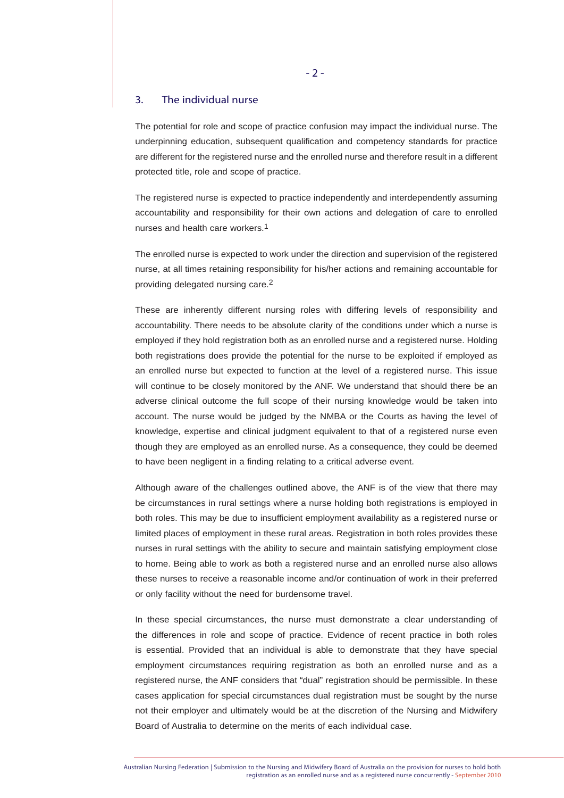## 3. The individual nurse

The potential for role and scope of practice confusion may impact the individual nurse. The underpinning education, subsequent qualification and competency standards for practice are different for the registered nurse and the enrolled nurse and therefore result in a different protected title, role and scope of practice.

The registered nurse is expected to practice independently and interdependently assuming accountability and responsibility for their own actions and delegation of care to enrolled nurses and health care workers.1

The enrolled nurse is expected to work under the direction and supervision of the registered nurse, at all times retaining responsibility for his/her actions and remaining accountable for providing delegated nursing care.2

These are inherently different nursing roles with differing levels of responsibility and accountability. There needs to be absolute clarity of the conditions under which a nurse is employed if they hold registration both as an enrolled nurse and a registered nurse. Holding both registrations does provide the potential for the nurse to be exploited if employed as an enrolled nurse but expected to function at the level of a registered nurse. This issue will continue to be closely monitored by the ANF. We understand that should there be an adverse clinical outcome the full scope of their nursing knowledge would be taken into account. The nurse would be judged by the NMBA or the Courts as having the level of knowledge, expertise and clinical judgment equivalent to that of a registered nurse even though they are employed as an enrolled nurse. As a consequence, they could be deemed to have been negligent in a finding relating to a critical adverse event.

Although aware of the challenges outlined above, the ANF is of the view that there may be circumstances in rural settings where a nurse holding both registrations is employed in both roles. This may be due to insufficient employment availability as a registered nurse or limited places of employment in these rural areas. Registration in both roles provides these nurses in rural settings with the ability to secure and maintain satisfying employment close to home. Being able to work as both a registered nurse and an enrolled nurse also allows these nurses to receive a reasonable income and/or continuation of work in their preferred or only facility without the need for burdensome travel.

In these special circumstances, the nurse must demonstrate a clear understanding of the differences in role and scope of practice. Evidence of recent practice in both roles is essential. Provided that an individual is able to demonstrate that they have special employment circumstances requiring registration as both an enrolled nurse and as a registered nurse, the ANF considers that "dual" registration should be permissible. In these cases application for special circumstances dual registration must be sought by the nurse not their employer and ultimately would be at the discretion of the Nursing and Midwifery Board of Australia to determine on the merits of each individual case.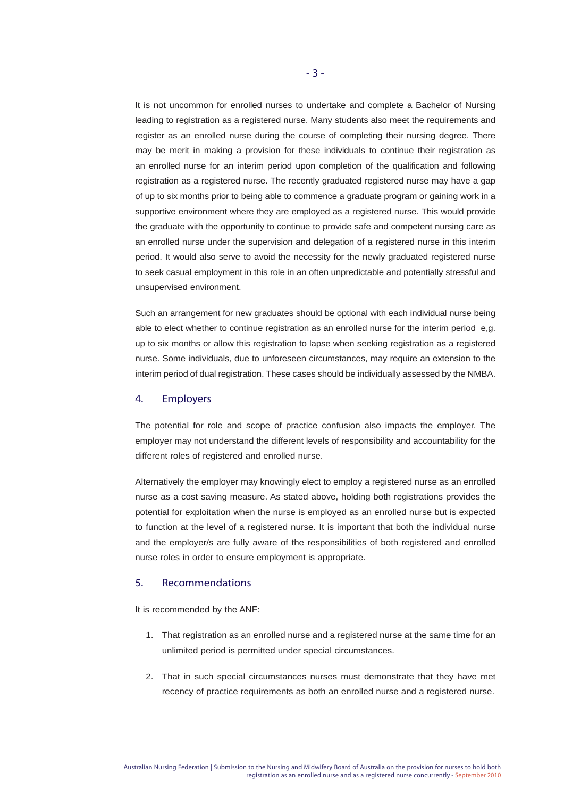It is not uncommon for enrolled nurses to undertake and complete a Bachelor of Nursing leading to registration as a registered nurse. Many students also meet the requirements and register as an enrolled nurse during the course of completing their nursing degree. There may be merit in making a provision for these individuals to continue their registration as an enrolled nurse for an interim period upon completion of the qualification and following registration as a registered nurse. The recently graduated registered nurse may have a gap of up to six months prior to being able to commence a graduate program or gaining work in a supportive environment where they are employed as a registered nurse. This would provide the graduate with the opportunity to continue to provide safe and competent nursing care as an enrolled nurse under the supervision and delegation of a registered nurse in this interim period. It would also serve to avoid the necessity for the newly graduated registered nurse to seek casual employment in this role in an often unpredictable and potentially stressful and unsupervised environment.

Such an arrangement for new graduates should be optional with each individual nurse being able to elect whether to continue registration as an enrolled nurse for the interim period e,g. up to six months or allow this registration to lapse when seeking registration as a registered nurse. Some individuals, due to unforeseen circumstances, may require an extension to the interim period of dual registration. These cases should be individually assessed by the NMBA.

## 4. Employers

The potential for role and scope of practice confusion also impacts the employer. The employer may not understand the different levels of responsibility and accountability for the different roles of registered and enrolled nurse.

Alternatively the employer may knowingly elect to employ a registered nurse as an enrolled nurse as a cost saving measure. As stated above, holding both registrations provides the potential for exploitation when the nurse is employed as an enrolled nurse but is expected to function at the level of a registered nurse. It is important that both the individual nurse and the employer/s are fully aware of the responsibilities of both registered and enrolled nurse roles in order to ensure employment is appropriate.

#### 5. Recommendations

It is recommended by the ANF:

- 1. That registration as an enrolled nurse and a registered nurse at the same time for an unlimited period is permitted under special circumstances.
- 2. That in such special circumstances nurses must demonstrate that they have met recency of practice requirements as both an enrolled nurse and a registered nurse.